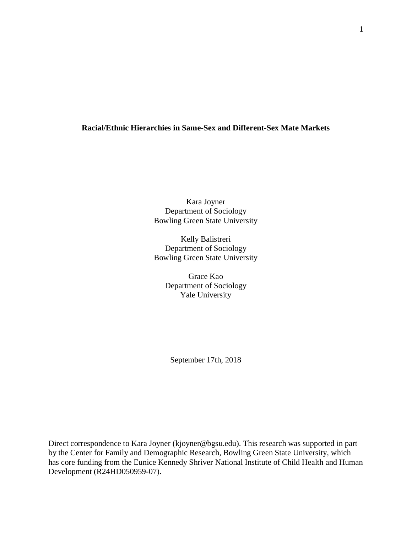# **Racial/Ethnic Hierarchies in Same-Sex and Different-Sex Mate Markets**

Kara Joyner Department of Sociology Bowling Green State University

Kelly Balistreri Department of Sociology Bowling Green State University

> Grace Kao Department of Sociology Yale University

September 17th, 2018

Direct correspondence to Kara Joyner (kjoyner@bgsu.edu). This research was supported in part by the Center for Family and Demographic Research, Bowling Green State University, which has core funding from the Eunice Kennedy Shriver National Institute of Child Health and Human Development (R24HD050959-07).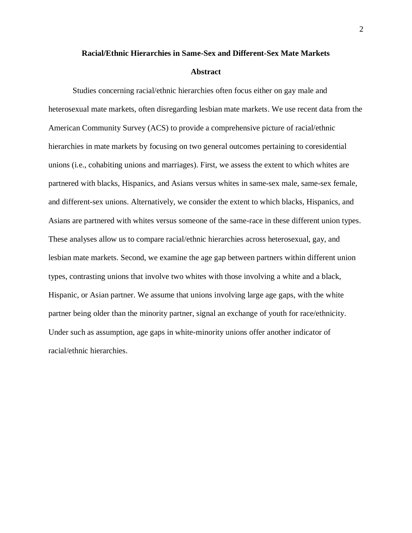#### **Racial/Ethnic Hierarchies in Same-Sex and Different-Sex Mate Markets**

#### **Abstract**

Studies concerning racial/ethnic hierarchies often focus either on gay male and heterosexual mate markets, often disregarding lesbian mate markets. We use recent data from the American Community Survey (ACS) to provide a comprehensive picture of racial/ethnic hierarchies in mate markets by focusing on two general outcomes pertaining to coresidential unions (i.e., cohabiting unions and marriages). First, we assess the extent to which whites are partnered with blacks, Hispanics, and Asians versus whites in same-sex male, same-sex female, and different-sex unions. Alternatively, we consider the extent to which blacks, Hispanics, and Asians are partnered with whites versus someone of the same-race in these different union types. These analyses allow us to compare racial/ethnic hierarchies across heterosexual, gay, and lesbian mate markets. Second, we examine the age gap between partners within different union types, contrasting unions that involve two whites with those involving a white and a black, Hispanic, or Asian partner. We assume that unions involving large age gaps, with the white partner being older than the minority partner, signal an exchange of youth for race/ethnicity. Under such as assumption, age gaps in white-minority unions offer another indicator of racial/ethnic hierarchies.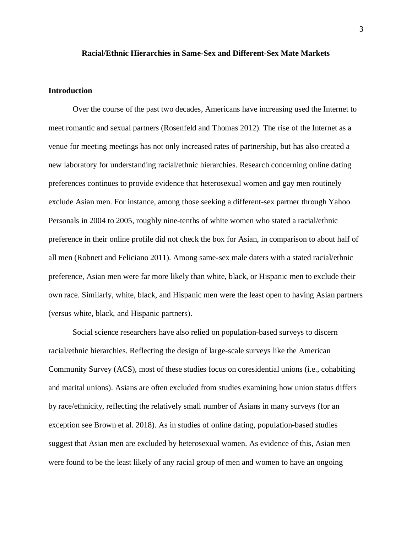#### **Racial/Ethnic Hierarchies in Same-Sex and Different-Sex Mate Markets**

### **Introduction**

Over the course of the past two decades, Americans have increasing used the Internet to meet romantic and sexual partners (Rosenfeld and Thomas 2012). The rise of the Internet as a venue for meeting meetings has not only increased rates of partnership, but has also created a new laboratory for understanding racial/ethnic hierarchies. Research concerning online dating preferences continues to provide evidence that heterosexual women and gay men routinely exclude Asian men. For instance, among those seeking a different-sex partner through Yahoo Personals in 2004 to 2005, roughly nine-tenths of white women who stated a racial/ethnic preference in their online profile did not check the box for Asian, in comparison to about half of all men (Robnett and Feliciano 2011). Among same-sex male daters with a stated racial/ethnic preference, Asian men were far more likely than white, black, or Hispanic men to exclude their own race. Similarly, white, black, and Hispanic men were the least open to having Asian partners (versus white, black, and Hispanic partners).

Social science researchers have also relied on population-based surveys to discern racial/ethnic hierarchies. Reflecting the design of large-scale surveys like the American Community Survey (ACS), most of these studies focus on coresidential unions (i.e., cohabiting and marital unions). Asians are often excluded from studies examining how union status differs by race/ethnicity, reflecting the relatively small number of Asians in many surveys (for an exception see Brown et al. 2018). As in studies of online dating, population-based studies suggest that Asian men are excluded by heterosexual women. As evidence of this, Asian men were found to be the least likely of any racial group of men and women to have an ongoing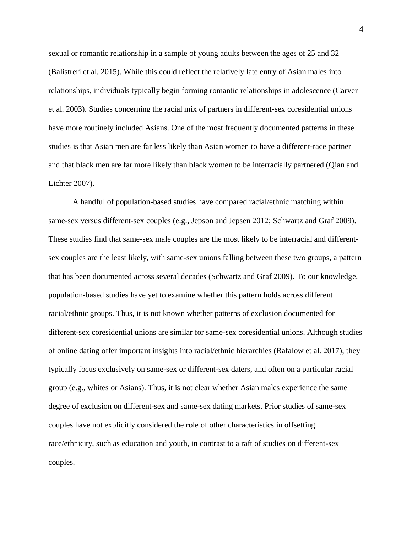sexual or romantic relationship in a sample of young adults between the ages of 25 and 32 (Balistreri et al. 2015). While this could reflect the relatively late entry of Asian males into relationships, individuals typically begin forming romantic relationships in adolescence (Carver et al. 2003). Studies concerning the racial mix of partners in different-sex coresidential unions have more routinely included Asians. One of the most frequently documented patterns in these studies is that Asian men are far less likely than Asian women to have a different-race partner and that black men are far more likely than black women to be interracially partnered (Qian and Lichter 2007).

A handful of population-based studies have compared racial/ethnic matching within same-sex versus different-sex couples (e.g., Jepson and Jepsen 2012; Schwartz and Graf 2009). These studies find that same-sex male couples are the most likely to be interracial and differentsex couples are the least likely, with same-sex unions falling between these two groups, a pattern that has been documented across several decades (Schwartz and Graf 2009). To our knowledge, population-based studies have yet to examine whether this pattern holds across different racial/ethnic groups. Thus, it is not known whether patterns of exclusion documented for different-sex coresidential unions are similar for same-sex coresidential unions. Although studies of online dating offer important insights into racial/ethnic hierarchies (Rafalow et al. 2017), they typically focus exclusively on same-sex or different-sex daters, and often on a particular racial group (e.g., whites or Asians). Thus, it is not clear whether Asian males experience the same degree of exclusion on different-sex and same-sex dating markets. Prior studies of same-sex couples have not explicitly considered the role of other characteristics in offsetting race/ethnicity, such as education and youth, in contrast to a raft of studies on different-sex couples.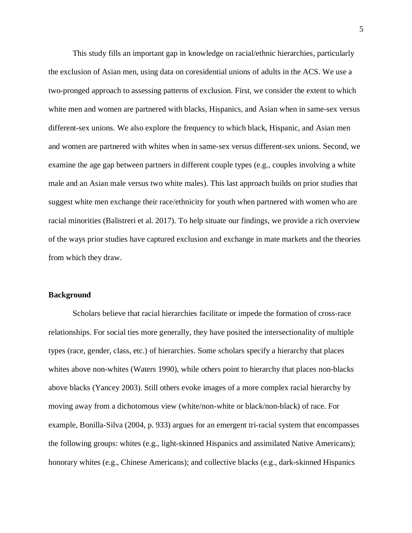This study fills an important gap in knowledge on racial/ethnic hierarchies, particularly the exclusion of Asian men, using data on coresidential unions of adults in the ACS. We use a two-pronged approach to assessing patterns of exclusion. First, we consider the extent to which white men and women are partnered with blacks, Hispanics, and Asian when in same-sex versus different-sex unions. We also explore the frequency to which black, Hispanic, and Asian men and women are partnered with whites when in same-sex versus different-sex unions. Second, we examine the age gap between partners in different couple types (e.g., couples involving a white male and an Asian male versus two white males). This last approach builds on prior studies that suggest white men exchange their race/ethnicity for youth when partnered with women who are racial minorities (Balistreri et al. 2017). To help situate our findings, we provide a rich overview of the ways prior studies have captured exclusion and exchange in mate markets and the theories from which they draw.

## **Background**

Scholars believe that racial hierarchies facilitate or impede the formation of cross-race relationships. For social ties more generally, they have posited the intersectionality of multiple types (race, gender, class, etc.) of hierarchies. Some scholars specify a hierarchy that places whites above non-whites (Waters 1990), while others point to hierarchy that places non-blacks above blacks (Yancey 2003). Still others evoke images of a more complex racial hierarchy by moving away from a dichotomous view (white/non-white or black/non-black) of race. For example, Bonilla-Silva (2004, p. 933) argues for an emergent tri-racial system that encompasses the following groups: whites (e.g., light-skinned Hispanics and assimilated Native Americans); honorary whites (e.g., Chinese Americans); and collective blacks (e.g., dark-skinned Hispanics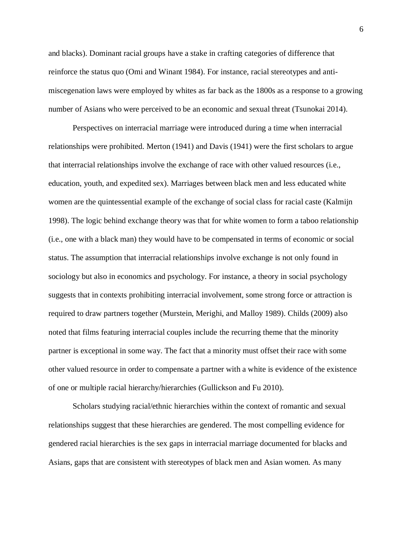and blacks). Dominant racial groups have a stake in crafting categories of difference that reinforce the status quo (Omi and Winant 1984). For instance, racial stereotypes and antimiscegenation laws were employed by whites as far back as the 1800s as a response to a growing number of Asians who were perceived to be an economic and sexual threat (Tsunokai 2014).

Perspectives on interracial marriage were introduced during a time when interracial relationships were prohibited. Merton (1941) and Davis (1941) were the first scholars to argue that interracial relationships involve the exchange of race with other valued resources (i.e., education, youth, and expedited sex). Marriages between black men and less educated white women are the quintessential example of the exchange of social class for racial caste (Kalmijn 1998). The logic behind exchange theory was that for white women to form a taboo relationship (i.e., one with a black man) they would have to be compensated in terms of economic or social status. The assumption that interracial relationships involve exchange is not only found in sociology but also in economics and psychology. For instance, a theory in social psychology suggests that in contexts prohibiting interracial involvement, some strong force or attraction is required to draw partners together (Murstein, Merighi, and Malloy 1989). Childs (2009) also noted that films featuring interracial couples include the recurring theme that the minority partner is exceptional in some way. The fact that a minority must offset their race with some other valued resource in order to compensate a partner with a white is evidence of the existence of one or multiple racial hierarchy/hierarchies (Gullickson and Fu 2010).

Scholars studying racial/ethnic hierarchies within the context of romantic and sexual relationships suggest that these hierarchies are gendered. The most compelling evidence for gendered racial hierarchies is the sex gaps in interracial marriage documented for blacks and Asians, gaps that are consistent with stereotypes of black men and Asian women. As many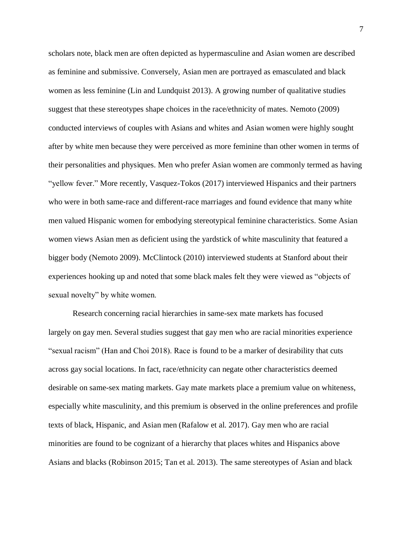scholars note, black men are often depicted as hypermasculine and Asian women are described as feminine and submissive. Conversely, Asian men are portrayed as emasculated and black women as less feminine (Lin and Lundquist 2013). A growing number of qualitative studies suggest that these stereotypes shape choices in the race/ethnicity of mates. Nemoto (2009) conducted interviews of couples with Asians and whites and Asian women were highly sought after by white men because they were perceived as more feminine than other women in terms of their personalities and physiques. Men who prefer Asian women are commonly termed as having "yellow fever." More recently, Vasquez-Tokos (2017) interviewed Hispanics and their partners who were in both same-race and different-race marriages and found evidence that many white men valued Hispanic women for embodying stereotypical feminine characteristics. Some Asian women views Asian men as deficient using the yardstick of white masculinity that featured a bigger body (Nemoto 2009). McClintock (2010) interviewed students at Stanford about their experiences hooking up and noted that some black males felt they were viewed as "objects of sexual novelty" by white women.

Research concerning racial hierarchies in same-sex mate markets has focused largely on gay men. Several studies suggest that gay men who are racial minorities experience "sexual racism" (Han and Choi 2018). Race is found to be a marker of desirability that cuts across gay social locations. In fact, race/ethnicity can negate other characteristics deemed desirable on same-sex mating markets. Gay mate markets place a premium value on whiteness, especially white masculinity, and this premium is observed in the online preferences and profile texts of black, Hispanic, and Asian men (Rafalow et al. 2017). Gay men who are racial minorities are found to be cognizant of a hierarchy that places whites and Hispanics above Asians and blacks (Robinson 2015; Tan et al. 2013). The same stereotypes of Asian and black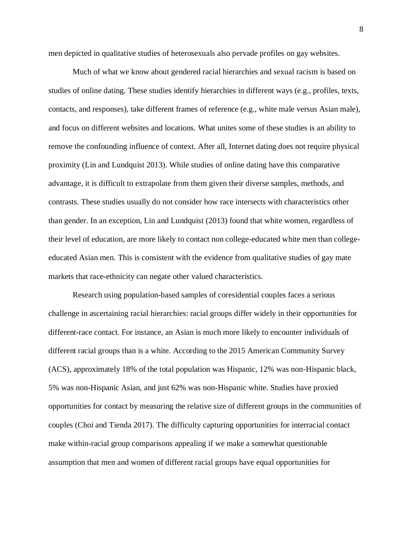men depicted in qualitative studies of heterosexuals also pervade profiles on gay websites.

Much of what we know about gendered racial hierarchies and sexual racism is based on studies of online dating. These studies identify hierarchies in different ways (e.g., profiles, texts, contacts, and responses), take different frames of reference (e.g., white male versus Asian male), and focus on different websites and locations. What unites some of these studies is an ability to remove the confounding influence of context. After all, Internet dating does not require physical proximity (Lin and Lundquist 2013). While studies of online dating have this comparative advantage, it is difficult to extrapolate from them given their diverse samples, methods, and contrasts. These studies usually do not consider how race intersects with characteristics other than gender. In an exception, Lin and Lundquist (2013) found that white women, regardless of their level of education, are more likely to contact non college-educated white men than collegeeducated Asian men. This is consistent with the evidence from qualitative studies of gay mate markets that race-ethnicity can negate other valued characteristics.

Research using population-based samples of coresidential couples faces a serious challenge in ascertaining racial hierarchies: racial groups differ widely in their opportunities for different-race contact. For instance, an Asian is much more likely to encounter individuals of different racial groups than is a white. According to the 2015 American Community Survey (ACS), approximately 18% of the total population was Hispanic, 12% was non-Hispanic black, 5% was non-Hispanic Asian, and just 62% was non-Hispanic white. Studies have proxied opportunities for contact by measuring the relative size of different groups in the communities of couples (Choi and Tienda 2017). The difficulty capturing opportunities for interracial contact make within-racial group comparisons appealing if we make a somewhat questionable assumption that men and women of different racial groups have equal opportunities for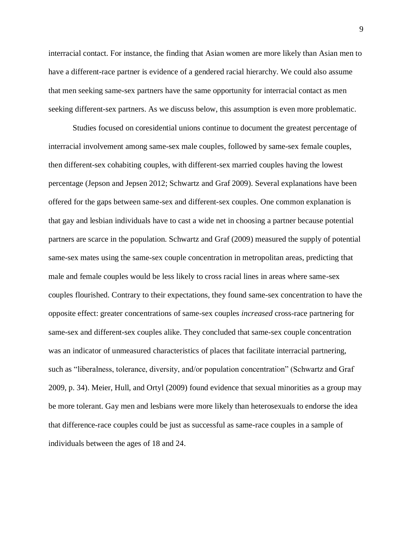interracial contact. For instance, the finding that Asian women are more likely than Asian men to have a different-race partner is evidence of a gendered racial hierarchy. We could also assume that men seeking same-sex partners have the same opportunity for interracial contact as men seeking different-sex partners. As we discuss below, this assumption is even more problematic.

Studies focused on coresidential unions continue to document the greatest percentage of interracial involvement among same-sex male couples, followed by same-sex female couples, then different-sex cohabiting couples, with different-sex married couples having the lowest percentage (Jepson and Jepsen 2012; Schwartz and Graf 2009). Several explanations have been offered for the gaps between same-sex and different-sex couples. One common explanation is that gay and lesbian individuals have to cast a wide net in choosing a partner because potential partners are scarce in the population. Schwartz and Graf (2009) measured the supply of potential same-sex mates using the same-sex couple concentration in metropolitan areas, predicting that male and female couples would be less likely to cross racial lines in areas where same-sex couples flourished. Contrary to their expectations, they found same-sex concentration to have the opposite effect: greater concentrations of same-sex couples *increased* cross-race partnering for same-sex and different-sex couples alike. They concluded that same-sex couple concentration was an indicator of unmeasured characteristics of places that facilitate interracial partnering, such as "liberalness, tolerance, diversity, and/or population concentration" (Schwartz and Graf 2009, p. 34). Meier, Hull, and Ortyl (2009) found evidence that sexual minorities as a group may be more tolerant. Gay men and lesbians were more likely than heterosexuals to endorse the idea that difference-race couples could be just as successful as same-race couples in a sample of individuals between the ages of 18 and 24.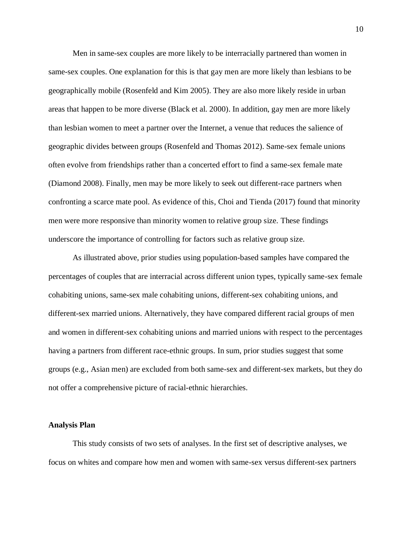Men in same-sex couples are more likely to be interracially partnered than women in same-sex couples. One explanation for this is that gay men are more likely than lesbians to be geographically mobile (Rosenfeld and Kim 2005). They are also more likely reside in urban areas that happen to be more diverse (Black et al. 2000). In addition, gay men are more likely than lesbian women to meet a partner over the Internet, a venue that reduces the salience of geographic divides between groups (Rosenfeld and Thomas 2012). Same-sex female unions often evolve from friendships rather than a concerted effort to find a same-sex female mate (Diamond 2008). Finally, men may be more likely to seek out different-race partners when confronting a scarce mate pool. As evidence of this, Choi and Tienda (2017) found that minority men were more responsive than minority women to relative group size. These findings underscore the importance of controlling for factors such as relative group size.

As illustrated above, prior studies using population-based samples have compared the percentages of couples that are interracial across different union types, typically same-sex female cohabiting unions, same-sex male cohabiting unions, different-sex cohabiting unions, and different-sex married unions. Alternatively, they have compared different racial groups of men and women in different-sex cohabiting unions and married unions with respect to the percentages having a partners from different race-ethnic groups. In sum, prior studies suggest that some groups (e.g., Asian men) are excluded from both same-sex and different-sex markets, but they do not offer a comprehensive picture of racial-ethnic hierarchies.

#### **Analysis Plan**

This study consists of two sets of analyses. In the first set of descriptive analyses, we focus on whites and compare how men and women with same-sex versus different-sex partners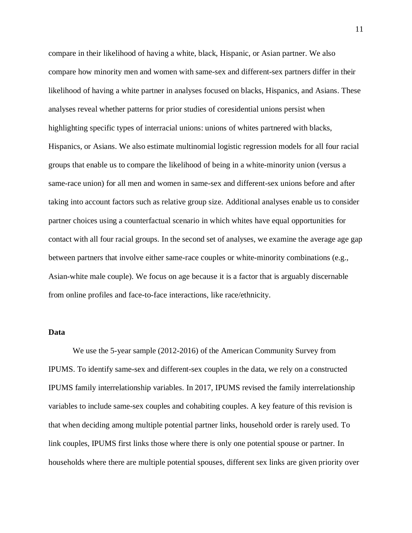compare in their likelihood of having a white, black, Hispanic, or Asian partner. We also compare how minority men and women with same-sex and different-sex partners differ in their likelihood of having a white partner in analyses focused on blacks, Hispanics, and Asians. These analyses reveal whether patterns for prior studies of coresidential unions persist when highlighting specific types of interracial unions: unions of whites partnered with blacks, Hispanics, or Asians. We also estimate multinomial logistic regression models for all four racial groups that enable us to compare the likelihood of being in a white-minority union (versus a same-race union) for all men and women in same-sex and different-sex unions before and after taking into account factors such as relative group size. Additional analyses enable us to consider partner choices using a counterfactual scenario in which whites have equal opportunities for contact with all four racial groups. In the second set of analyses, we examine the average age gap between partners that involve either same-race couples or white-minority combinations (e.g., Asian-white male couple). We focus on age because it is a factor that is arguably discernable from online profiles and face-to-face interactions, like race/ethnicity.

## **Data**

We use the 5-year sample (2012-2016) of the American Community Survey from IPUMS. To identify same-sex and different-sex couples in the data, we rely on a constructed IPUMS family interrelationship variables. In 2017, IPUMS revised the family interrelationship variables to include same-sex couples and cohabiting couples. A key feature of this revision is that when deciding among multiple potential partner links, household order is rarely used. To link couples, IPUMS first links those where there is only one potential spouse or partner. In households where there are multiple potential spouses, different sex links are given priority over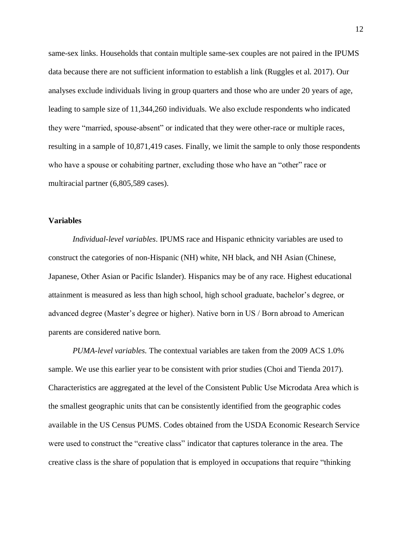same-sex links. Households that contain multiple same-sex couples are not paired in the IPUMS data because there are not sufficient information to establish a link (Ruggles et al. 2017). Our analyses exclude individuals living in group quarters and those who are under 20 years of age, leading to sample size of 11,344,260 individuals. We also exclude respondents who indicated they were "married, spouse-absent" or indicated that they were other-race or multiple races, resulting in a sample of 10,871,419 cases. Finally, we limit the sample to only those respondents who have a spouse or cohabiting partner, excluding those who have an "other" race or multiracial partner (6,805,589 cases).

#### **Variables**

*Individual-level variables*. IPUMS race and Hispanic ethnicity variables are used to construct the categories of non-Hispanic (NH) white, NH black, and NH Asian (Chinese, Japanese, Other Asian or Pacific Islander). Hispanics may be of any race. Highest educational attainment is measured as less than high school, high school graduate, bachelor's degree, or advanced degree (Master's degree or higher). Native born in US / Born abroad to American parents are considered native born.

*PUMA-level variables.* The contextual variables are taken from the 2009 ACS 1.0% sample. We use this earlier year to be consistent with prior studies (Choi and Tienda 2017). Characteristics are aggregated at the level of the Consistent Public Use Microdata Area which is the smallest geographic units that can be consistently identified from the geographic codes available in the US Census PUMS. Codes obtained from the USDA Economic Research Service were used to construct the "creative class" indicator that captures tolerance in the area. The creative class is the share of population that is employed in occupations that require "thinking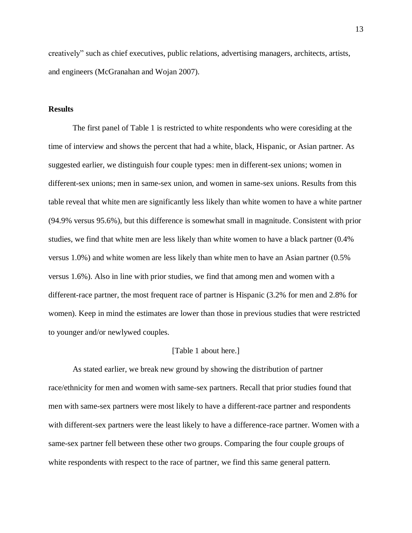creatively" such as chief executives, public relations, advertising managers, architects, artists, and engineers (McGranahan and Wojan 2007).

### **Results**

The first panel of Table 1 is restricted to white respondents who were coresiding at the time of interview and shows the percent that had a white, black, Hispanic, or Asian partner. As suggested earlier, we distinguish four couple types: men in different-sex unions; women in different-sex unions; men in same-sex union, and women in same-sex unions. Results from this table reveal that white men are significantly less likely than white women to have a white partner (94.9% versus 95.6%), but this difference is somewhat small in magnitude. Consistent with prior studies, we find that white men are less likely than white women to have a black partner (0.4% versus 1.0%) and white women are less likely than white men to have an Asian partner (0.5% versus 1.6%). Also in line with prior studies, we find that among men and women with a different-race partner, the most frequent race of partner is Hispanic (3.2% for men and 2.8% for women). Keep in mind the estimates are lower than those in previous studies that were restricted to younger and/or newlywed couples.

#### [Table 1 about here.]

As stated earlier, we break new ground by showing the distribution of partner race/ethnicity for men and women with same-sex partners. Recall that prior studies found that men with same-sex partners were most likely to have a different-race partner and respondents with different-sex partners were the least likely to have a difference-race partner. Women with a same-sex partner fell between these other two groups. Comparing the four couple groups of white respondents with respect to the race of partner, we find this same general pattern.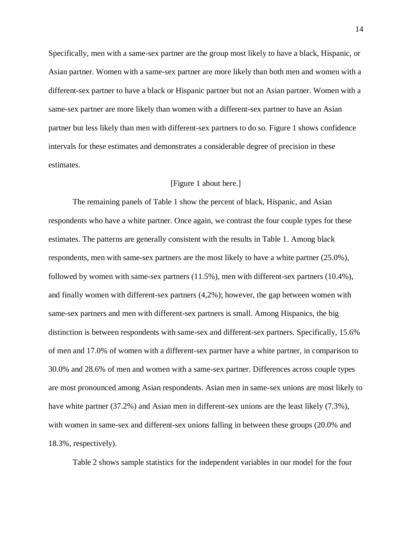Specifically, men with a same-sex partner are the group most likely to have a black, Hispanic, or Asian partner. Women with a same-sex partner are more likely than both men and women with a different-sex partner to have a black or Hispanic partner but not an Asian partner. Women with a same-sex partner are more likely than women with a different-sex partner to have an Asian partner but less likely than men with different-sex partners to do so. Figure 1 shows confidence intervals for these estimates and demonstrates a considerable degree of precision in these estimates.

#### [Figure 1 about here.]

The remaining panels of Table 1 show the percent of black, Hispanic, and Asian respondents who have a white partner. Once again, we contrast the four couple types for these estimates. The patterns are generally consistent with the results in Table 1. Among black respondents, men with same-sex partners are the most likely to have a white partner (25.0%), followed by women with same-sex partners (11.5%), men with different-sex partners (10.4%), and finally women with different-sex partners (4,2%); however, the gap between women with same-sex partners and men with different-sex partners is small. Among Hispanics, the big distinction is between respondents with same-sex and different-sex partners. Specifically, 15.6% of men and 17.0% of women with a different-sex partner have a white partner, in comparison to 30.0% and 28.6% of men and women with a same-sex partner. Differences across couple types are most pronounced among Asian respondents. Asian men in same-sex unions are most likely to have white partner (37.2%) and Asian men in different-sex unions are the least likely (7.3%), with women in same-sex and different-sex unions falling in between these groups (20.0% and 18.3%, respectively).

Table 2 shows sample statistics for the independent variables in our model for the four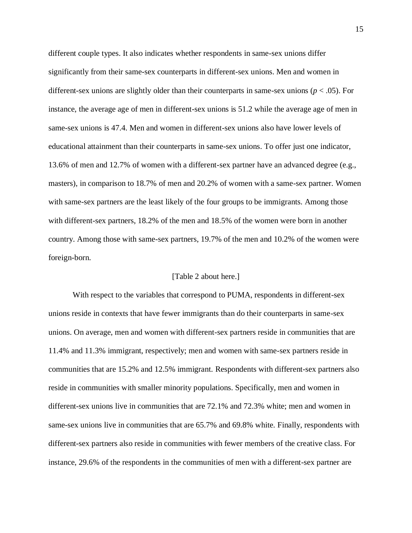different couple types. It also indicates whether respondents in same-sex unions differ significantly from their same-sex counterparts in different-sex unions. Men and women in different-sex unions are slightly older than their counterparts in same-sex unions ( $p < .05$ ). For instance, the average age of men in different-sex unions is 51.2 while the average age of men in same-sex unions is 47.4. Men and women in different-sex unions also have lower levels of educational attainment than their counterparts in same-sex unions. To offer just one indicator, 13.6% of men and 12.7% of women with a different-sex partner have an advanced degree (e.g., masters), in comparison to 18.7% of men and 20.2% of women with a same-sex partner. Women with same-sex partners are the least likely of the four groups to be immigrants. Among those with different-sex partners, 18.2% of the men and 18.5% of the women were born in another country. Among those with same-sex partners, 19.7% of the men and 10.2% of the women were foreign-born.

#### [Table 2 about here.]

With respect to the variables that correspond to PUMA, respondents in different-sex unions reside in contexts that have fewer immigrants than do their counterparts in same-sex unions. On average, men and women with different-sex partners reside in communities that are 11.4% and 11.3% immigrant, respectively; men and women with same-sex partners reside in communities that are 15.2% and 12.5% immigrant. Respondents with different-sex partners also reside in communities with smaller minority populations. Specifically, men and women in different-sex unions live in communities that are 72.1% and 72.3% white; men and women in same-sex unions live in communities that are 65.7% and 69.8% white. Finally, respondents with different-sex partners also reside in communities with fewer members of the creative class. For instance, 29.6% of the respondents in the communities of men with a different-sex partner are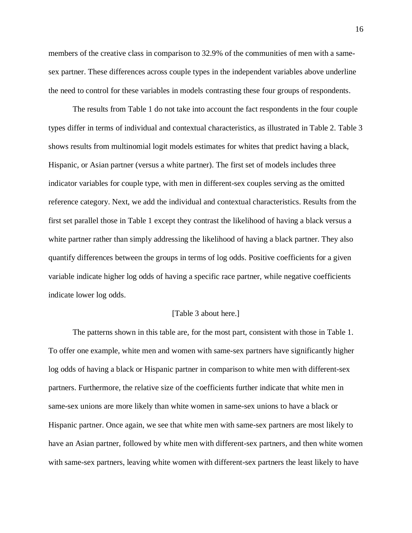members of the creative class in comparison to 32.9% of the communities of men with a samesex partner. These differences across couple types in the independent variables above underline the need to control for these variables in models contrasting these four groups of respondents.

The results from Table 1 do not take into account the fact respondents in the four couple types differ in terms of individual and contextual characteristics, as illustrated in Table 2. Table 3 shows results from multinomial logit models estimates for whites that predict having a black, Hispanic, or Asian partner (versus a white partner). The first set of models includes three indicator variables for couple type, with men in different-sex couples serving as the omitted reference category. Next, we add the individual and contextual characteristics. Results from the first set parallel those in Table 1 except they contrast the likelihood of having a black versus a white partner rather than simply addressing the likelihood of having a black partner. They also quantify differences between the groups in terms of log odds. Positive coefficients for a given variable indicate higher log odds of having a specific race partner, while negative coefficients indicate lower log odds.

#### [Table 3 about here.]

The patterns shown in this table are, for the most part, consistent with those in Table 1. To offer one example, white men and women with same-sex partners have significantly higher log odds of having a black or Hispanic partner in comparison to white men with different-sex partners. Furthermore, the relative size of the coefficients further indicate that white men in same-sex unions are more likely than white women in same-sex unions to have a black or Hispanic partner. Once again, we see that white men with same-sex partners are most likely to have an Asian partner, followed by white men with different-sex partners, and then white women with same-sex partners, leaving white women with different-sex partners the least likely to have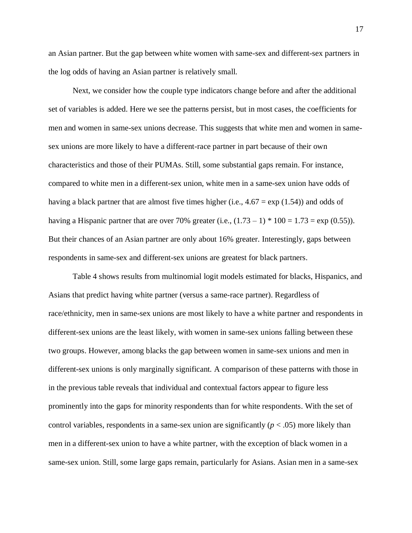an Asian partner. But the gap between white women with same-sex and different-sex partners in the log odds of having an Asian partner is relatively small.

Next, we consider how the couple type indicators change before and after the additional set of variables is added. Here we see the patterns persist, but in most cases, the coefficients for men and women in same-sex unions decrease. This suggests that white men and women in samesex unions are more likely to have a different-race partner in part because of their own characteristics and those of their PUMAs. Still, some substantial gaps remain. For instance, compared to white men in a different-sex union, white men in a same-sex union have odds of having a black partner that are almost five times higher (i.e.,  $4.67 = \exp(1.54)$ ) and odds of having a Hispanic partner that are over 70% greater (i.e.,  $(1.73 - 1) * 100 = 1.73 = exp(0.55)$ ). But their chances of an Asian partner are only about 16% greater. Interestingly, gaps between respondents in same-sex and different-sex unions are greatest for black partners.

Table 4 shows results from multinomial logit models estimated for blacks, Hispanics, and Asians that predict having white partner (versus a same-race partner). Regardless of race/ethnicity, men in same-sex unions are most likely to have a white partner and respondents in different-sex unions are the least likely, with women in same-sex unions falling between these two groups. However, among blacks the gap between women in same-sex unions and men in different-sex unions is only marginally significant. A comparison of these patterns with those in in the previous table reveals that individual and contextual factors appear to figure less prominently into the gaps for minority respondents than for white respondents. With the set of control variables, respondents in a same-sex union are significantly  $(p < .05)$  more likely than men in a different-sex union to have a white partner, with the exception of black women in a same-sex union. Still, some large gaps remain, particularly for Asians. Asian men in a same-sex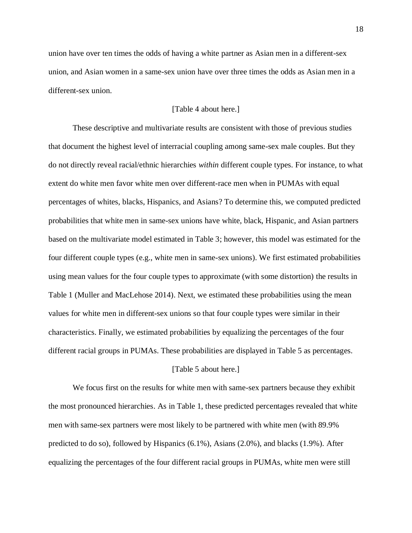union have over ten times the odds of having a white partner as Asian men in a different-sex union, and Asian women in a same-sex union have over three times the odds as Asian men in a different-sex union.

## [Table 4 about here.]

These descriptive and multivariate results are consistent with those of previous studies that document the highest level of interracial coupling among same-sex male couples. But they do not directly reveal racial/ethnic hierarchies *within* different couple types. For instance, to what extent do white men favor white men over different-race men when in PUMAs with equal percentages of whites, blacks, Hispanics, and Asians? To determine this, we computed predicted probabilities that white men in same-sex unions have white, black, Hispanic, and Asian partners based on the multivariate model estimated in Table 3; however, this model was estimated for the four different couple types (e.g., white men in same-sex unions). We first estimated probabilities using mean values for the four couple types to approximate (with some distortion) the results in Table 1 (Muller and MacLehose 2014). Next, we estimated these probabilities using the mean values for white men in different-sex unions so that four couple types were similar in their characteristics. Finally, we estimated probabilities by equalizing the percentages of the four different racial groups in PUMAs. These probabilities are displayed in Table 5 as percentages.

#### [Table 5 about here.]

We focus first on the results for white men with same-sex partners because they exhibit the most pronounced hierarchies. As in Table 1, these predicted percentages revealed that white men with same-sex partners were most likely to be partnered with white men (with 89.9% predicted to do so), followed by Hispanics (6.1%), Asians (2.0%), and blacks (1.9%). After equalizing the percentages of the four different racial groups in PUMAs, white men were still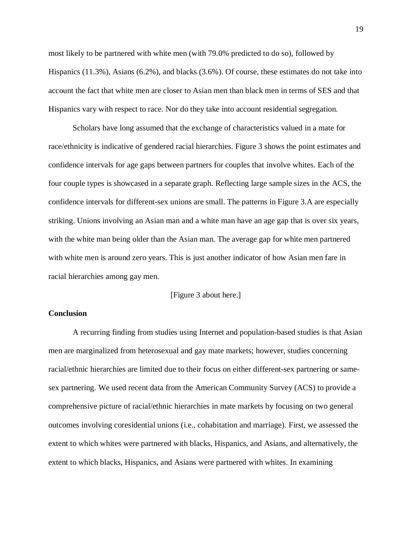most likely to be partnered with white men (with 79.0% predicted to do so), followed by Hispanics (11.3%), Asians (6.2%), and blacks (3.6%). Of course, these estimates do not take into account the fact that white men are closer to Asian men than black men in terms of SES and that Hispanics vary with respect to race. Nor do they take into account residential segregation.

Scholars have long assumed that the exchange of characteristics valued in a mate for race/ethnicity is indicative of gendered racial hierarchies. Figure 3 shows the point estimates and confidence intervals for age gaps between partners for couples that involve whites. Each of the four couple types is showcased in a separate graph. Reflecting large sample sizes in the ACS, the confidence intervals for different-sex unions are small. The patterns in Figure 3.A are especially striking. Unions involving an Asian man and a white man have an age gap that is over six years, with the white man being older than the Asian man. The average gap for white men partnered with white men is around zero years. This is just another indicator of how Asian men fare in racial hierarchies among gay men.

## [Figure 3 about here.]

## **Conclusion**

A recurring finding from studies using Internet and population-based studies is that Asian men are marginalized from heterosexual and gay mate markets; however, studies concerning racial/ethnic hierarchies are limited due to their focus on either different-sex partnering or samesex partnering. We used recent data from the American Community Survey (ACS) to provide a comprehensive picture of racial/ethnic hierarchies in mate markets by focusing on two general outcomes involving coresidential unions (i.e., cohabitation and marriage). First, we assessed the extent to which whites were partnered with blacks, Hispanics, and Asians, and alternatively, the extent to which blacks, Hispanics, and Asians were partnered with whites. In examining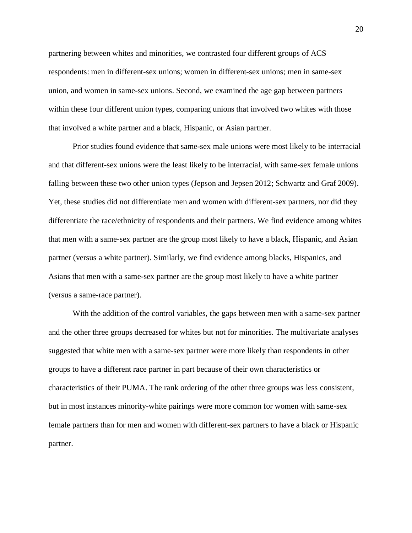partnering between whites and minorities, we contrasted four different groups of ACS respondents: men in different-sex unions; women in different-sex unions; men in same-sex union, and women in same-sex unions. Second, we examined the age gap between partners within these four different union types, comparing unions that involved two whites with those that involved a white partner and a black, Hispanic, or Asian partner.

Prior studies found evidence that same-sex male unions were most likely to be interracial and that different-sex unions were the least likely to be interracial, with same-sex female unions falling between these two other union types (Jepson and Jepsen 2012; Schwartz and Graf 2009). Yet, these studies did not differentiate men and women with different-sex partners, nor did they differentiate the race/ethnicity of respondents and their partners. We find evidence among whites that men with a same-sex partner are the group most likely to have a black, Hispanic, and Asian partner (versus a white partner). Similarly, we find evidence among blacks, Hispanics, and Asians that men with a same-sex partner are the group most likely to have a white partner (versus a same-race partner).

With the addition of the control variables, the gaps between men with a same-sex partner and the other three groups decreased for whites but not for minorities. The multivariate analyses suggested that white men with a same-sex partner were more likely than respondents in other groups to have a different race partner in part because of their own characteristics or characteristics of their PUMA. The rank ordering of the other three groups was less consistent, but in most instances minority-white pairings were more common for women with same-sex female partners than for men and women with different-sex partners to have a black or Hispanic partner.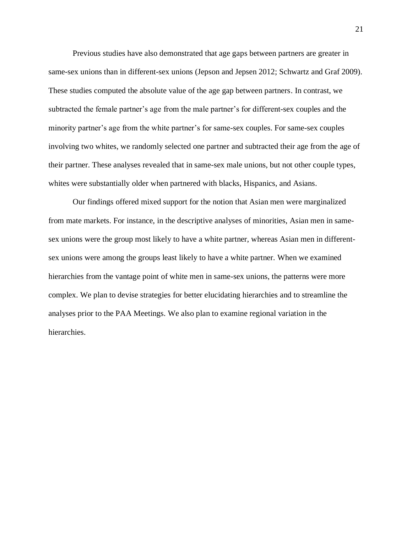Previous studies have also demonstrated that age gaps between partners are greater in same-sex unions than in different-sex unions (Jepson and Jepsen 2012; Schwartz and Graf 2009). These studies computed the absolute value of the age gap between partners. In contrast, we subtracted the female partner's age from the male partner's for different-sex couples and the minority partner's age from the white partner's for same-sex couples. For same-sex couples involving two whites, we randomly selected one partner and subtracted their age from the age of their partner. These analyses revealed that in same-sex male unions, but not other couple types, whites were substantially older when partnered with blacks, Hispanics, and Asians.

Our findings offered mixed support for the notion that Asian men were marginalized from mate markets. For instance, in the descriptive analyses of minorities, Asian men in samesex unions were the group most likely to have a white partner, whereas Asian men in differentsex unions were among the groups least likely to have a white partner. When we examined hierarchies from the vantage point of white men in same-sex unions, the patterns were more complex. We plan to devise strategies for better elucidating hierarchies and to streamline the analyses prior to the PAA Meetings. We also plan to examine regional variation in the hierarchies.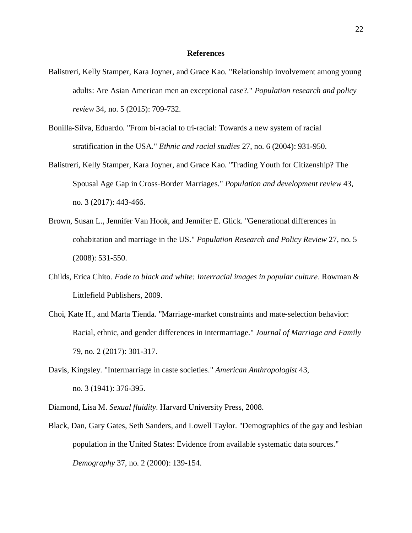#### **References**

- Balistreri, Kelly Stamper, Kara Joyner, and Grace Kao. "Relationship involvement among young adults: Are Asian American men an exceptional case?." *Population research and policy review* 34, no. 5 (2015): 709-732.
- Bonilla-Silva, Eduardo. "From bi-racial to tri-racial: Towards a new system of racial stratification in the USA." *Ethnic and racial studies* 27, no. 6 (2004): 931-950.
- Balistreri, Kelly Stamper, Kara Joyner, and Grace Kao. "Trading Youth for Citizenship? The Spousal Age Gap in Cross‐Border Marriages." *Population and development review* 43, no. 3 (2017): 443-466.
- Brown, Susan L., Jennifer Van Hook, and Jennifer E. Glick. "Generational differences in cohabitation and marriage in the US." *Population Research and Policy Review* 27, no. 5 (2008): 531-550.
- Childs, Erica Chito. *Fade to black and white: Interracial images in popular culture*. Rowman & Littlefield Publishers, 2009.
- Choi, Kate H., and Marta Tienda. "Marriage‐market constraints and mate‐selection behavior: Racial, ethnic, and gender differences in intermarriage." *Journal of Marriage and Family* 79, no. 2 (2017): 301-317.
- Davis, Kingsley. "Intermarriage in caste societies." *American Anthropologist* 43, no. 3 (1941): 376-395.
- Diamond, Lisa M. *Sexual fluidity*. Harvard University Press, 2008.
- Black, Dan, Gary Gates, Seth Sanders, and Lowell Taylor. "Demographics of the gay and lesbian population in the United States: Evidence from available systematic data sources." *Demography* 37, no. 2 (2000): 139-154.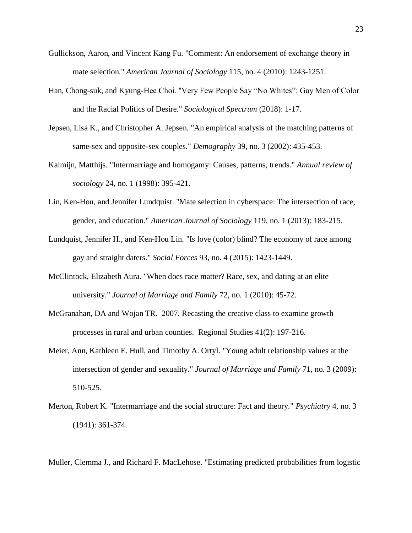- Gullickson, Aaron, and Vincent Kang Fu. "Comment: An endorsement of exchange theory in mate selection." *American Journal of Sociology* 115, no. 4 (2010): 1243-1251.
- Han, Chong-suk, and Kyung-Hee Choi. "Very Few People Say "No Whites": Gay Men of Color and the Racial Politics of Desire." *Sociological Spectrum* (2018): 1-17.
- Jepsen, Lisa K., and Christopher A. Jepsen. "An empirical analysis of the matching patterns of same-sex and opposite-sex couples." *Demography* 39, no. 3 (2002): 435-453.
- Kalmijn, Matthijs. "Intermarriage and homogamy: Causes, patterns, trends." *Annual review of sociology* 24, no. 1 (1998): 395-421.
- Lin, Ken-Hou, and Jennifer Lundquist. "Mate selection in cyberspace: The intersection of race, gender, and education." *American Journal of Sociology* 119, no. 1 (2013): 183-215.
- Lundquist, Jennifer H., and Ken-Hou Lin. "Is love (color) blind? The economy of race among gay and straight daters." *Social Forces* 93, no. 4 (2015): 1423-1449.
- McClintock, Elizabeth Aura. "When does race matter? Race, sex, and dating at an elite university." *Journal of Marriage and Family* 72, no. 1 (2010): 45-72.
- McGranahan, DA and Wojan TR. 2007. Recasting the creative class to examine growth processes in rural and urban counties. Regional Studies 41(2): 197-216.
- Meier, Ann, Kathleen E. Hull, and Timothy A. Ortyl. "Young adult relationship values at the intersection of gender and sexuality." *Journal of Marriage and Family* 71, no. 3 (2009): 510-525.
- Merton, Robert K. "Intermarriage and the social structure: Fact and theory." *Psychiatry* 4, no. 3 (1941): 361-374.

Muller, Clemma J., and Richard F. MacLehose. "Estimating predicted probabilities from logistic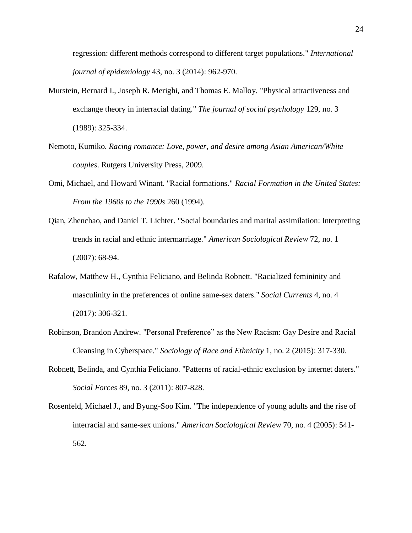regression: different methods correspond to different target populations." *International journal of epidemiology* 43, no. 3 (2014): 962-970.

- Murstein, Bernard I., Joseph R. Merighi, and Thomas E. Malloy. "Physical attractiveness and exchange theory in interracial dating." *The journal of social psychology* 129, no. 3 (1989): 325-334.
- Nemoto, Kumiko. *Racing romance: Love, power, and desire among Asian American/White couples*. Rutgers University Press, 2009.
- Omi, Michael, and Howard Winant. "Racial formations." *Racial Formation in the United States: From the 1960s to the 1990s* 260 (1994).
- Qian, Zhenchao, and Daniel T. Lichter. "Social boundaries and marital assimilation: Interpreting trends in racial and ethnic intermarriage." *American Sociological Review* 72, no. 1 (2007): 68-94.
- Rafalow, Matthew H., Cynthia Feliciano, and Belinda Robnett. "Racialized femininity and masculinity in the preferences of online same-sex daters." *Social Currents* 4, no. 4 (2017): 306-321.
- Robinson, Brandon Andrew. "Personal Preference" as the New Racism: Gay Desire and Racial Cleansing in Cyberspace." *Sociology of Race and Ethnicity* 1, no. 2 (2015): 317-330.
- Robnett, Belinda, and Cynthia Feliciano. "Patterns of racial-ethnic exclusion by internet daters." *Social Forces* 89, no. 3 (2011): 807-828.
- Rosenfeld, Michael J., and Byung-Soo Kim. "The independence of young adults and the rise of interracial and same-sex unions." *American Sociological Review* 70, no. 4 (2005): 541- 562.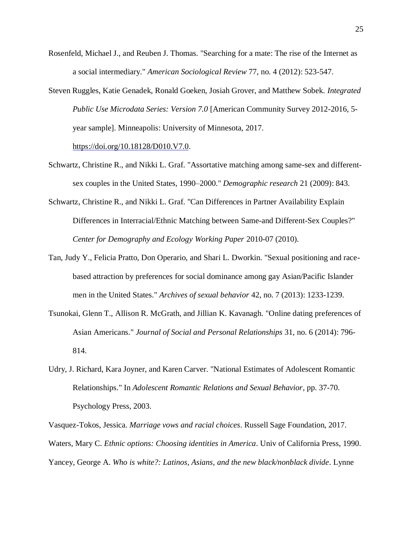- Rosenfeld, Michael J., and Reuben J. Thomas. "Searching for a mate: The rise of the Internet as a social intermediary." *American Sociological Review* 77, no. 4 (2012): 523-547.
- Steven Ruggles, Katie Genadek, Ronald Goeken, Josiah Grover, and Matthew Sobek. *Integrated Public Use Microdata Series: Version 7.0* [American Community Survey 2012-2016, 5 year sample]. Minneapolis: University of Minnesota, 2017.

[https://doi.org/10.18128/D010.V7.0.](https://doi.org/10.18128/D010.V7.0)

- Schwartz, Christine R., and Nikki L. Graf. "Assortative matching among same-sex and differentsex couples in the United States, 1990–2000." *Demographic research* 21 (2009): 843.
- Schwartz, Christine R., and Nikki L. Graf. "Can Differences in Partner Availability Explain Differences in Interracial/Ethnic Matching between Same-and Different-Sex Couples?" *Center for Demography and Ecology Working Paper* 2010-07 (2010).
- Tan, Judy Y., Felicia Pratto, Don Operario, and Shari L. Dworkin. "Sexual positioning and racebased attraction by preferences for social dominance among gay Asian/Pacific Islander men in the United States." *Archives of sexual behavior* 42, no. 7 (2013): 1233-1239.
- Tsunokai, Glenn T., Allison R. McGrath, and Jillian K. Kavanagh. "Online dating preferences of Asian Americans." *Journal of Social and Personal Relationships* 31, no. 6 (2014): 796- 814.
- Udry, J. Richard, Kara Joyner, and Karen Carver. "National Estimates of Adolescent Romantic Relationships." In *Adolescent Romantic Relations and Sexual Behavior*, pp. 37-70. Psychology Press, 2003.

Vasquez-Tokos, Jessica. *Marriage vows and racial choices*. Russell Sage Foundation, 2017. Waters, Mary C. *Ethnic options: Choosing identities in America*. Univ of California Press, 1990. Yancey, George A. *Who is white?: Latinos, Asians, and the new black/nonblack divide*. Lynne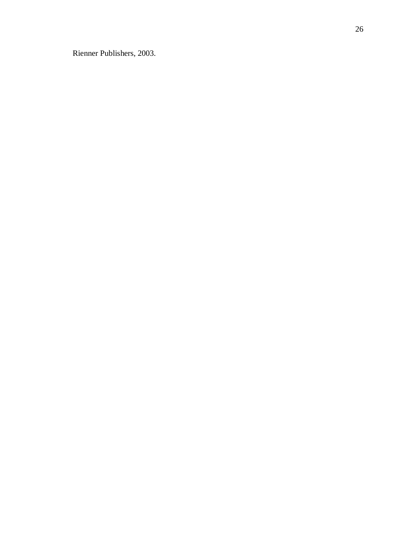Rienner Publishers, 2003.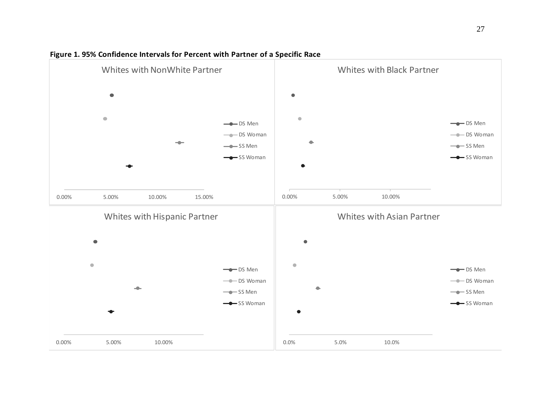

# **Figure 1. 95% Confidence Intervals for Percent with Partner of a Specific Race**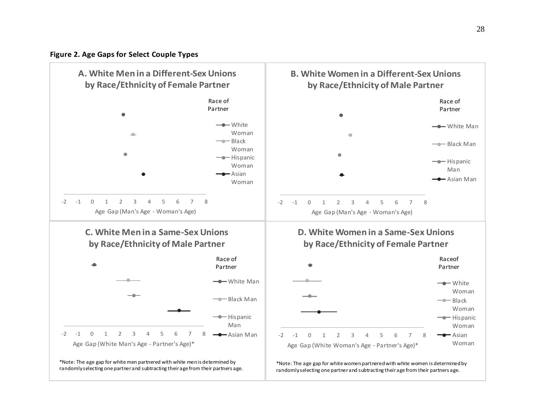

**Figure 2. Age Gaps for Select Couple Types**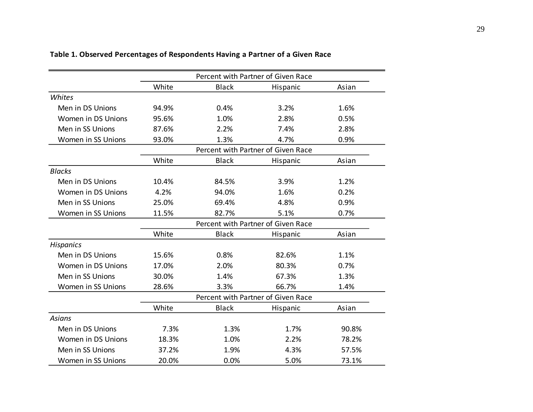|                    | Percent with Partner of Given Race |              |          |       |  |  |  |  |
|--------------------|------------------------------------|--------------|----------|-------|--|--|--|--|
|                    | White                              | <b>Black</b> | Hispanic | Asian |  |  |  |  |
| Whites             |                                    |              |          |       |  |  |  |  |
| Men in DS Unions   | 94.9%                              | 0.4%         | 3.2%     | 1.6%  |  |  |  |  |
| Women in DS Unions | 95.6%                              | 1.0%         | 2.8%     | 0.5%  |  |  |  |  |
| Men in SS Unions   | 87.6%                              | 2.2%         | 7.4%     | 2.8%  |  |  |  |  |
| Women in SS Unions | 93.0%                              | 1.3%         | 4.7%     | 0.9%  |  |  |  |  |
|                    | Percent with Partner of Given Race |              |          |       |  |  |  |  |
|                    | White                              | <b>Black</b> | Hispanic | Asian |  |  |  |  |
| <b>Blacks</b>      |                                    |              |          |       |  |  |  |  |
| Men in DS Unions   | 10.4%                              | 84.5%        | 3.9%     | 1.2%  |  |  |  |  |
| Women in DS Unions | 4.2%                               | 94.0%        | 1.6%     | 0.2%  |  |  |  |  |
| Men in SS Unions   | 25.0%                              | 69.4%        | 4.8%     | 0.9%  |  |  |  |  |
| Women in SS Unions | 11.5%                              | 82.7%        | 5.1%     | 0.7%  |  |  |  |  |
|                    | Percent with Partner of Given Race |              |          |       |  |  |  |  |
|                    | White                              | <b>Black</b> | Hispanic | Asian |  |  |  |  |
| <b>Hispanics</b>   |                                    |              |          |       |  |  |  |  |
| Men in DS Unions   | 15.6%                              | 0.8%         | 82.6%    | 1.1%  |  |  |  |  |
| Women in DS Unions | 17.0%                              | 2.0%         | 80.3%    | 0.7%  |  |  |  |  |
| Men in SS Unions   | 30.0%                              | 1.4%         | 67.3%    | 1.3%  |  |  |  |  |
| Women in SS Unions | 28.6%                              | 3.3%         | 66.7%    | 1.4%  |  |  |  |  |
|                    | Percent with Partner of Given Race |              |          |       |  |  |  |  |
|                    | White                              | <b>Black</b> | Hispanic | Asian |  |  |  |  |
| <b>Asians</b>      |                                    |              |          |       |  |  |  |  |
| Men in DS Unions   | 7.3%                               | 1.3%         | 1.7%     | 90.8% |  |  |  |  |
| Women in DS Unions | 18.3%                              | 1.0%         | 2.2%     | 78.2% |  |  |  |  |
| Men in SS Unions   | 37.2%                              | 1.9%         | 4.3%     | 57.5% |  |  |  |  |
| Women in SS Unions | 20.0%                              | 0.0%         | 5.0%     | 73.1% |  |  |  |  |

# **Table 1. Observed Percentages of Respondents Having a Partner of a Given Race**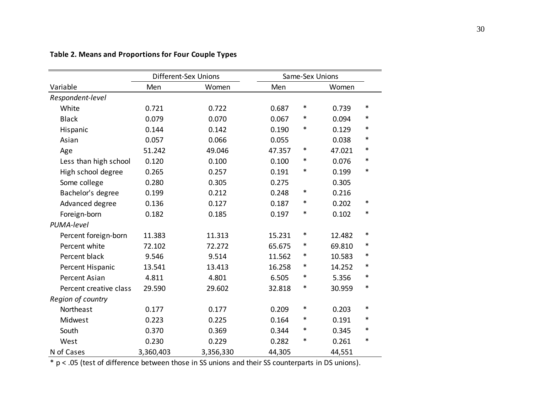|                        |           | <b>Different-Sex Unions</b> | Same-Sex Unions |        |        |        |  |
|------------------------|-----------|-----------------------------|-----------------|--------|--------|--------|--|
| Variable               | Men       | Women                       | Men             |        | Women  |        |  |
| Respondent-level       |           |                             |                 |        |        |        |  |
| White                  | 0.721     | 0.722                       | 0.687           | $\ast$ | 0.739  | $\ast$ |  |
| <b>Black</b>           | 0.079     | 0.070                       | 0.067           | $\ast$ | 0.094  | ∗      |  |
| Hispanic               | 0.144     | 0.142                       | 0.190           | $\ast$ | 0.129  | $\ast$ |  |
| Asian                  | 0.057     | 0.066                       | 0.055           |        | 0.038  | $\ast$ |  |
| Age                    | 51.242    | 49.046                      | 47.357          | $\ast$ | 47.021 | $\ast$ |  |
| Less than high school  | 0.120     | 0.100                       | 0.100           | $\ast$ | 0.076  | $\ast$ |  |
| High school degree     | 0.265     | 0.257                       | 0.191           | $\ast$ | 0.199  | $\ast$ |  |
| Some college           | 0.280     | 0.305                       | 0.275           |        | 0.305  |        |  |
| Bachelor's degree      | 0.199     | 0.212                       | 0.248           | ∗      | 0.216  |        |  |
| Advanced degree        | 0.136     | 0.127                       | 0.187           | $\ast$ | 0.202  | $\ast$ |  |
| Foreign-born           | 0.182     | 0.185                       | 0.197           | $\ast$ | 0.102  | $\ast$ |  |
| PUMA-level             |           |                             |                 |        |        |        |  |
| Percent foreign-born   | 11.383    | 11.313                      | 15.231          | $\ast$ | 12.482 | $\ast$ |  |
| Percent white          | 72.102    | 72.272                      | 65.675          | $\ast$ | 69.810 | $\ast$ |  |
| Percent black          | 9.546     | 9.514                       | 11.562          | $\ast$ | 10.583 | $\ast$ |  |
| Percent Hispanic       | 13.541    | 13.413                      | 16.258          | $\ast$ | 14.252 | $\ast$ |  |
| <b>Percent Asian</b>   | 4.811     | 4.801                       | 6.505           | ∗      | 5.356  | $\ast$ |  |
| Percent creative class | 29.590    | 29.602                      | 32.818          | $\ast$ | 30.959 | $\ast$ |  |
| Region of country      |           |                             |                 |        |        |        |  |
| Northeast              | 0.177     | 0.177                       | 0.209           | $\ast$ | 0.203  | $\ast$ |  |
| Midwest                | 0.223     | 0.225                       | 0.164           | ∗      | 0.191  | ∗      |  |
| South                  | 0.370     | 0.369                       | 0.344           | ∗      | 0.345  | $\ast$ |  |
| West                   | 0.230     | 0.229                       | 0.282           | $\ast$ | 0.261  | $\ast$ |  |
| N of Cases             | 3,360,403 | 3,356,330                   | 44,305          |        | 44,551 |        |  |

# **Table 2. Means and Proportions for Four Couple Types**

\* p < .05 (test of difference between those in SS unions and their SS counterparts in DS unions).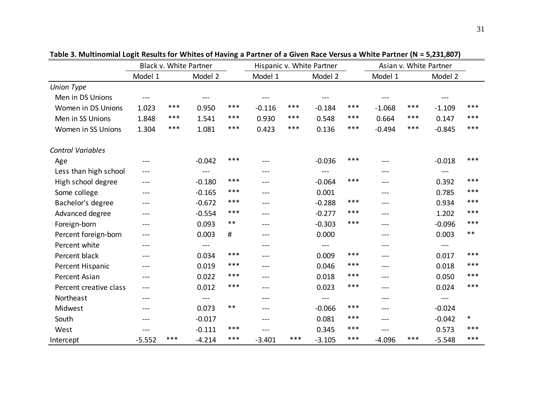|                          | Black v. White Partner |     |                   | Hispanic v. White Partner |          |     | Asian v. White Partner |       |                   |     |                   |        |
|--------------------------|------------------------|-----|-------------------|---------------------------|----------|-----|------------------------|-------|-------------------|-----|-------------------|--------|
|                          | Model 1                |     | Model 2           |                           | Model 1  |     | Model 2                |       | Model 1           |     | Model 2           |        |
| <b>Union Type</b>        |                        |     |                   |                           |          |     |                        |       |                   |     |                   |        |
| Men in DS Unions         | $\qquad \qquad -$      |     | $\qquad \qquad -$ |                           | $---$    |     | $---$                  |       | $\qquad \qquad -$ |     |                   |        |
| Women in DS Unions       | 1.023                  | *** | 0.950             | ***                       | $-0.116$ | *** | $-0.184$               | ***   | $-1.068$          | *** | $-1.109$          | ***    |
| Men in SS Unions         | 1.848                  | *** | 1.541             | ***                       | 0.930    | *** | 0.548                  | $***$ | 0.664             | *** | 0.147             | ***    |
| Women in SS Unions       | 1.304                  | *** | 1.081             | ***                       | 0.423    | *** | 0.136                  | ***   | $-0.494$          | *** | $-0.845$          | ***    |
| <b>Control Variables</b> |                        |     |                   |                           |          |     |                        |       |                   |     |                   |        |
| Age                      | $---$                  |     | $-0.042$          | ***                       | ---      |     | $-0.036$               | ***   | ---               |     | $-0.018$          | ***    |
| Less than high school    | ---                    |     | $---$             |                           | ---      |     | $---$                  |       | ---               |     | $---$             |        |
| High school degree       | ---                    |     | $-0.180$          | ***                       | ---      |     | $-0.064$               | ***   | $---$             |     | 0.392             | ***    |
| Some college             | ---                    |     | $-0.165$          | ***                       | ---      |     | 0.001                  |       | $---$             |     | 0.785             | ***    |
| Bachelor's degree        | ---                    |     | $-0.672$          | ***                       | ---      |     | $-0.288$               | ***   | $---$             |     | 0.934             | ***    |
| Advanced degree          | $---$                  |     | $-0.554$          | ***                       | ---      |     | $-0.277$               | ***   | $---$             |     | 1.202             | ***    |
| Foreign-born             | $---$                  |     | 0.093             | $***$                     | ---      |     | $-0.303$               | ***   | $---$             |     | $-0.096$          | ***    |
| Percent foreign-born     | $---$                  |     | 0.003             | #                         | ---      |     | 0.000                  |       | ---               |     | 0.003             | $***$  |
| Percent white            | $---$                  |     | $---$             |                           | ---      |     | $---$                  |       | ---               |     | $---$             |        |
| Percent black            | ---                    |     | 0.034             | ***                       | ---      |     | 0.009                  | ***   | ---               |     | 0.017             | ***    |
| Percent Hispanic         | $---$                  |     | 0.019             | ***                       | $---$    |     | 0.046                  | ***   | $---$             |     | 0.018             | ***    |
| <b>Percent Asian</b>     | $---$                  |     | 0.022             | ***                       | ---      |     | 0.018                  | ***   | $---$             |     | 0.050             | ***    |
| Percent creative class   | $---$                  |     | 0.012             | ***                       | ---      |     | 0.023                  | ***   | $---$             |     | 0.024             | ***    |
| Northeast                | $---$                  |     |                   |                           | ---      |     | $---$                  |       | $---$             |     | $\qquad \qquad -$ |        |
| Midwest                  | $---$                  |     | 0.073             | $***$                     | ---      |     | $-0.066$               | ***   | $---$             |     | $-0.024$          |        |
| South                    | $---$                  |     | $-0.017$          |                           | $---$    |     | 0.081                  | ***   | $---$             |     | $-0.042$          | $\ast$ |
| West                     |                        |     | $-0.111$          | ***                       | ---      |     | 0.345                  | ***   | ---               |     | 0.573             | ***    |
| Intercept                | $-5.552$               | *** | $-4.214$          | ***                       | $-3.401$ | *** | $-3.105$               | ***   | $-4.096$          | *** | $-5.548$          | ***    |

**Table 3. Multinomial Logit Results for Whites of Having a Partner of a Given Race Versus a White Partner (N = 5,231,807)**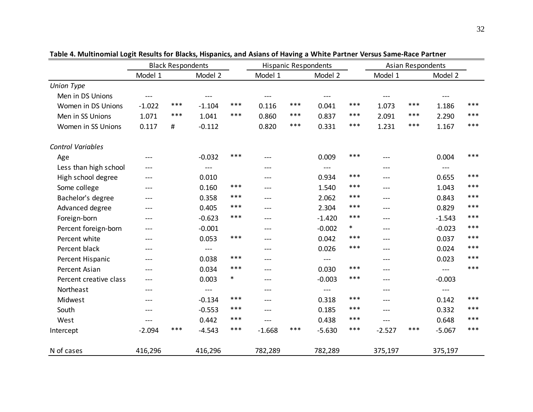|                          |          | <b>Black Respondents</b> |                                     |        | <b>Hispanic Respondents</b> |     |          | <b>Asian Respondents</b> |          |     |                                     |       |
|--------------------------|----------|--------------------------|-------------------------------------|--------|-----------------------------|-----|----------|--------------------------|----------|-----|-------------------------------------|-------|
|                          | Model 1  |                          | Model 2                             |        | Model 1                     |     | Model 2  |                          | Model 1  |     | Model 2                             |       |
| <b>Union Type</b>        |          |                          |                                     |        |                             |     |          |                          |          |     |                                     |       |
| Men in DS Unions         | $---$    |                          | $---$                               |        | $---$                       |     | $---$    |                          | ---      |     | $---$                               |       |
| Women in DS Unions       | $-1.022$ | ***                      | $-1.104$                            | ***    | 0.116                       | *** | 0.041    | ***                      | 1.073    | *** | 1.186                               | ***   |
| Men in SS Unions         | 1.071    | ***                      | 1.041                               | ***    | 0.860                       | *** | 0.837    | ***                      | 2.091    | *** | 2.290                               | ***   |
| Women in SS Unions       | 0.117    | #                        | $-0.112$                            |        | 0.820                       | *** | 0.331    | ***                      | 1.231    | *** | 1.167                               | ***   |
| <b>Control Variables</b> |          |                          |                                     |        |                             |     |          |                          |          |     |                                     |       |
| Age                      | ---      |                          | $-0.032$                            | ***    | ---                         |     | 0.009    | ***                      | ---      |     | 0.004                               | ***   |
| Less than high school    | ---      |                          | $---$                               |        | $---$                       |     | $---$    |                          | ---      |     | $---$                               |       |
| High school degree       | ---      |                          | 0.010                               |        | $---$                       |     | 0.934    | ***                      | ---      |     | 0.655                               | ***   |
| Some college             | ---      |                          | 0.160                               | ***    | $---$                       |     | 1.540    | ***                      | ---      |     | 1.043                               | ***   |
| Bachelor's degree        | ---      |                          | 0.358                               | ***    | $---$                       |     | 2.062    | ***                      | ---      |     | 0.843                               | ***   |
| Advanced degree          | ---      |                          | 0.405                               | ***    | $---$                       |     | 2.304    | ***                      | $---$    |     | 0.829                               | ***   |
| Foreign-born             | ---      |                          | $-0.623$                            | ***    | $---$                       |     | $-1.420$ | ***                      | ---      |     | $-1.543$                            | $***$ |
| Percent foreign-born     | ---      |                          | $-0.001$                            |        | $---$                       |     | $-0.002$ | $\ast$                   | ---      |     | $-0.023$                            | ***   |
| Percent white            | ---      |                          | 0.053                               | ***    | $---$                       |     | 0.042    | ***                      | $---$    |     | 0.037                               | ***   |
| Percent black            | ---      |                          | $\hspace{0.05cm}---\hspace{0.05cm}$ |        | $---$                       |     | 0.026    | ***                      | $---$    |     | 0.024                               | ***   |
| Percent Hispanic         | ---      |                          | 0.038                               | ***    | $---$                       |     | $---$    |                          | $---$    |     | 0.023                               | ***   |
| Percent Asian            | ---      |                          | 0.034                               | ***    | $---$                       |     | 0.030    | ***                      | ---      |     | $\hspace{0.05cm}---\hspace{0.05cm}$ | ***   |
| Percent creative class   | ---      |                          | 0.003                               | $\ast$ | $---$                       |     | $-0.003$ | ***                      | $---$    |     | $-0.003$                            |       |
| Northeast                | ---      |                          | $\hspace{0.05cm}---\hspace{0.05cm}$ |        | $---$                       |     | $---$    |                          | ---      |     | $---$                               |       |
| Midwest                  | ---      |                          | $-0.134$                            | ***    | $---$                       |     | 0.318    | ***                      | $---$    |     | 0.142                               | ***   |
| South                    | ---      |                          | $-0.553$                            | ***    | $---$                       |     | 0.185    | ***                      | ---      |     | 0.332                               | ***   |
| West                     | ---      |                          | 0.442                               | ***    | ---                         |     | 0.438    | ***                      | ---      |     | 0.648                               | ***   |
| Intercept                | $-2.094$ | ***                      | $-4.543$                            | ***    | $-1.668$                    | *** | $-5.630$ | ***                      | $-2.527$ | *** | $-5.067$                            | ***   |
| N of cases               | 416,296  |                          | 416,296                             |        | 782,289                     |     | 782,289  |                          | 375,197  |     | 375,197                             |       |

**Table 4. Multinomial Logit Results for Blacks, Hispanics, and Asians of Having a White Partner Versus Same-Race Partner**